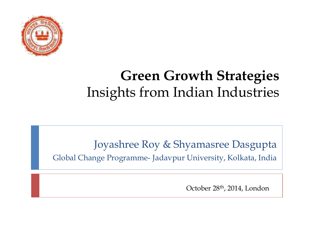

# **Green Growth Strategies**  Insights from Indian Industries

Joyashree Roy & Shyamasree Dasgupta Global Change Programme- Jadavpur University, Kolkata, India

October 28th, 2014, London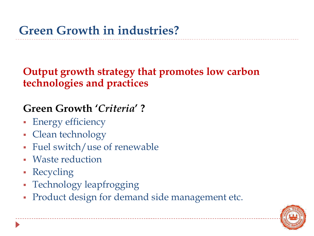**Output growth strategy that promotes low carbon technologies and practices**

## **Green Growth '***Criteria***' ?**

- **Energy efficiency**
- Clean technology
- Fuel switch/use of renewable
- Waste reduction
- Recycling
- Technology leapfrogging
- **Product design for demand side management etc.**

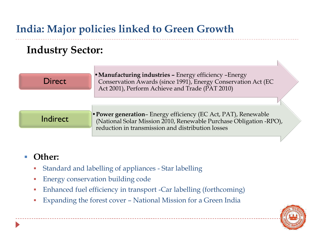# **India: Major policies linked to Green Growth**

### **Industry Sector:**



#### **Other:**

- Standard and labelling of appliances Star labelling
- Energy conservation building code
- Enhanced fuel efficiency in transport -Car labelling (forthcoming)
- Expanding the forest cover National Mission for a Green India

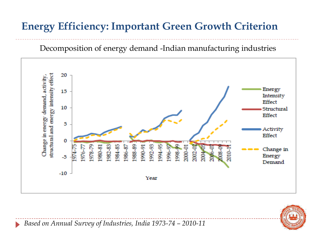## **Energy Efficiency: Important Green Growth Criterion**







*Based on Annual Survey of Industries, India 1973-74 – 2010-11*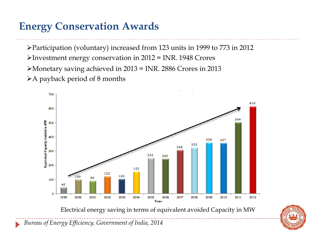# **Energy Conservation Awards**

Participation (voluntary) increased from 123 units in 1999 to 773 in 2012 Investment energy conservation in 2012 = INR. 1948 Crores Monetary saving achieved in 2013 = INR. 2886 Crores in 2013  $\triangleright$  A payback period of 8 months





*Bureau of Energy Efficiency, Government of India, 2014*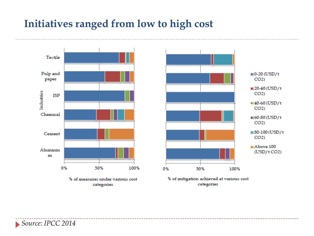## **Initiatives ranged from low to high cost**





% of mitigation achieved at various cost categories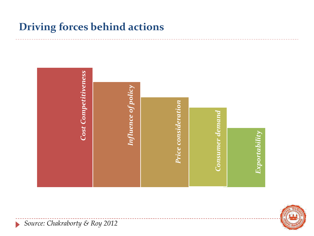## **Driving forces behind actions**





*Source: Chakraborty & Roy 2012*

 $\blacktriangleright$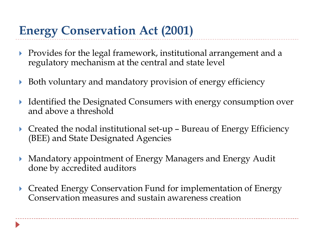# **Energy Conservation Act (2001)**

- Provides for the legal framework, institutional arrangement and a regulatory mechanism at the central and state level
- ▶ Both voluntary and mandatory provision of energy efficiency
- Identified the Designated Consumers with energy consumption over and above a threshold
- $\triangleright$  Created the nodal institutional set-up Bureau of Energy Efficiency (BEE) and State Designated Agencies
- Mandatory appointment of Energy Managers and Energy Audit done by accredited auditors
- ▶ Created Energy Conservation Fund for implementation of Energy Conservation measures and sustain awareness creation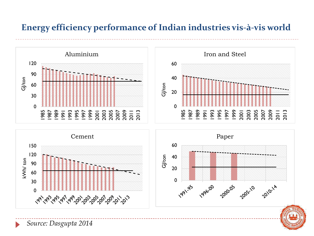#### **Energy efficiency performance of Indian industries vis-à-vis world**

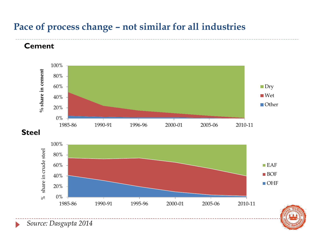#### **Pace of process change – not similar for all industries**



*Source: Dasgupta 2014*

**Cement**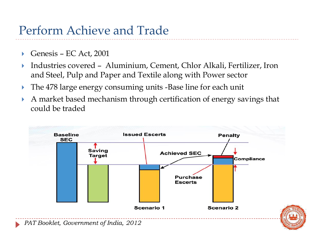# Perform Achieve and Trade

- Genesis EC Act, 2001
- Industries covered Aluminium, Cement, Chlor Alkali, Fertilizer, Iron and Steel, Pulp and Paper and Textile along with Power sector
- The 478 large energy consuming units -Base line for each unit
- A market based mechanism through certification of energy savings that could be traded

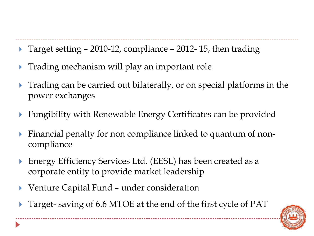- Target setting  $-2010-12$ , compliance  $-2012-15$ , then trading
- **Trading mechanism will play an important role**
- **Trading can be carried out bilaterally, or on special platforms in the** power exchanges
- Fungibility with Renewable Energy Certificates can be provided
- Financial penalty for non compliance linked to quantum of noncompliance
- ▶ Energy Efficiency Services Ltd. (EESL) has been created as a corporate entity to provide market leadership
- Venture Capital Fund under consideration
- Target- saving of 6.6 MTOE at the end of the first cycle of PAT

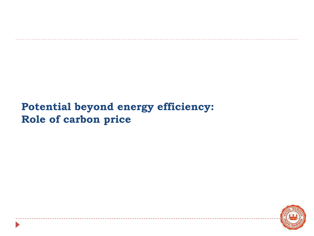## **Potential beyond energy efficiency: Role of carbon price**

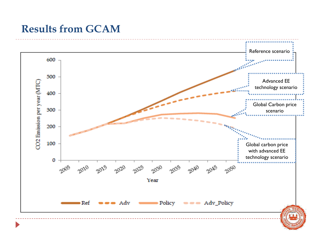## **Results from GCAM**

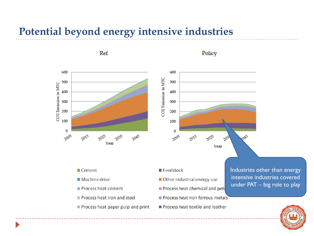### **Potential beyond energy intensive industries**

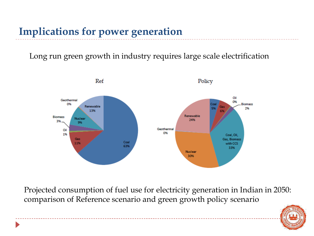# **Implications for power generation**

Long run green growth in industry requires large scale electrification



Projected consumption of fuel use for electricity generation in Indian in 2050: comparison of Reference scenario and green growth policy scenario

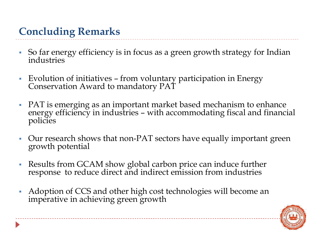# **Concluding Remarks**

- So far energy efficiency is in focus as a green growth strategy for Indian industries
- Evolution of initiatives from voluntary participation in Energy Conservation Award to mandatory PAT
- PAT is emerging as an important market based mechanism to enhance energy efficiency in industries – with accommodating fiscal and financial policies
- Our research shows that non-PAT sectors have equally important green growth potential
- Results from GCAM show global carbon price can induce further response to reduce direct and indirect emission from industries
- Adoption of CCS and other high cost technologies will become an imperative in achieving green growth